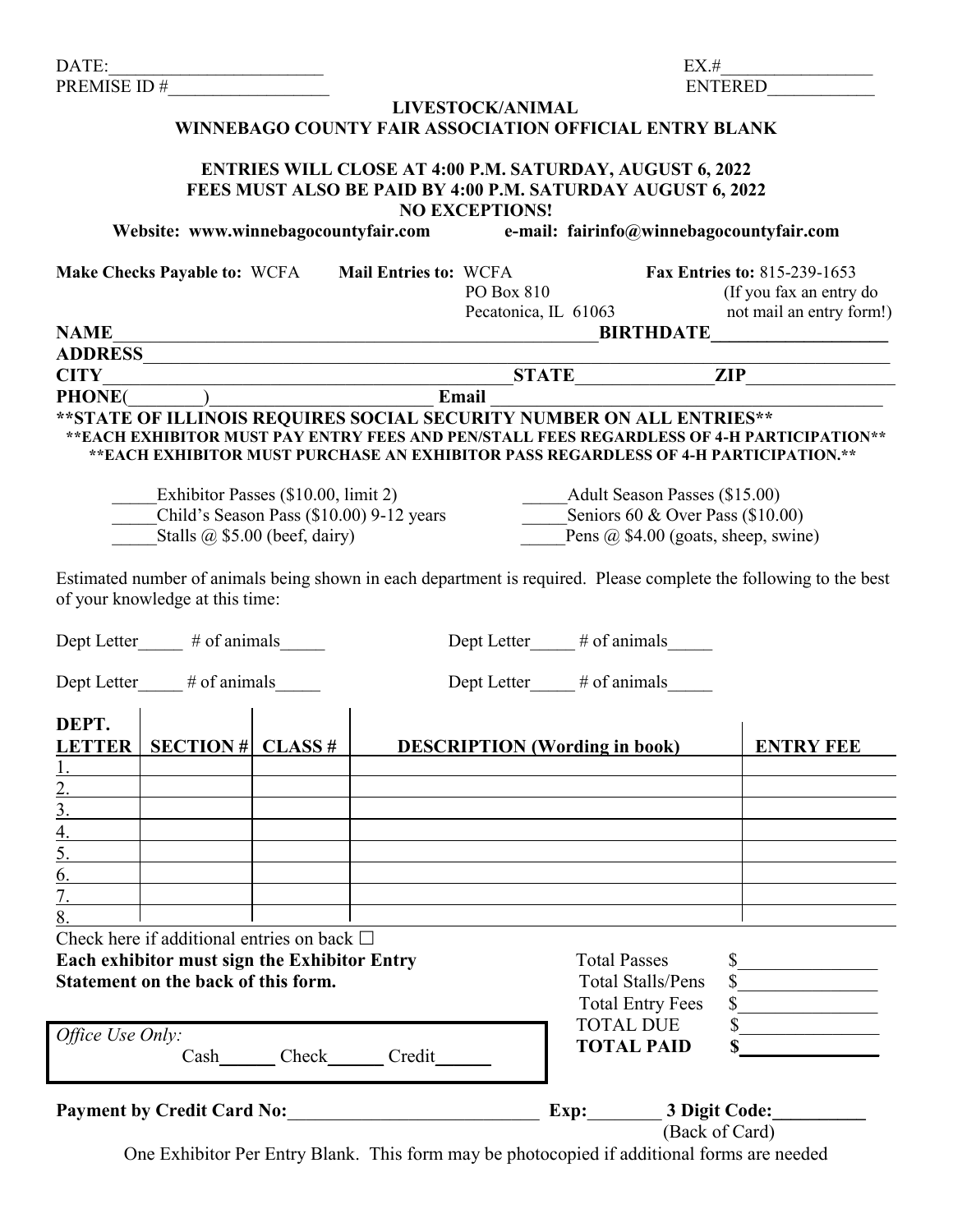| DATE:<br>the control of the control of the control of                                                                                                                                                                                                    |                                    |                                                                                                                                                         | EX.#                                                                                                           |                                                                                     |  |  |
|----------------------------------------------------------------------------------------------------------------------------------------------------------------------------------------------------------------------------------------------------------|------------------------------------|---------------------------------------------------------------------------------------------------------------------------------------------------------|----------------------------------------------------------------------------------------------------------------|-------------------------------------------------------------------------------------|--|--|
| PREMISE ID $#$                                                                                                                                                                                                                                           |                                    |                                                                                                                                                         | <b>ENTERED</b>                                                                                                 |                                                                                     |  |  |
| LIVESTOCK/ANIMAL<br>WINNEBAGO COUNTY FAIR ASSOCIATION OFFICIAL ENTRY BLANK                                                                                                                                                                               |                                    |                                                                                                                                                         |                                                                                                                |                                                                                     |  |  |
|                                                                                                                                                                                                                                                          |                                    | <b>ENTRIES WILL CLOSE AT 4:00 P.M. SATURDAY, AUGUST 6, 2022</b><br>FEES MUST ALSO BE PAID BY 4:00 P.M. SATURDAY AUGUST 6, 2022<br><b>NO EXCEPTIONS!</b> |                                                                                                                |                                                                                     |  |  |
| Website: www.winnebagocountyfair.com                                                                                                                                                                                                                     |                                    | e-mail: fairinfo@winnebagocountyfair.com                                                                                                                |                                                                                                                |                                                                                     |  |  |
| Make Checks Payable to: WCFA Mail Entries to: WCFA                                                                                                                                                                                                       |                                    | PO Box 810<br>Pecatonica, IL 61063                                                                                                                      |                                                                                                                | Fax Entries to: 815-239-1653<br>(If you fax an entry do<br>not mail an entry form!) |  |  |
| <b>NAME</b>                                                                                                                                                                                                                                              |                                    | <b>BIRTHDATE</b><br><u> 1989 - Johann Barn, mars ann an Cathracha ann an t-</u>                                                                         |                                                                                                                |                                                                                     |  |  |
|                                                                                                                                                                                                                                                          |                                    |                                                                                                                                                         |                                                                                                                |                                                                                     |  |  |
|                                                                                                                                                                                                                                                          |                                    |                                                                                                                                                         |                                                                                                                |                                                                                     |  |  |
| **STATE OF ILLINOIS REQUIRES SOCIAL SECURITY NUMBER ON ALL ENTRIES**<br>**EACH EXHIBITOR MUST PAY ENTRY FEES AND PEN/STALL FEES REGARDLESS OF 4-H PARTICIPATION**<br>**EACH EXHIBITOR MUST PURCHASE AN EXHIBITOR PASS REGARDLESS OF 4-H PARTICIPATION.** |                                    |                                                                                                                                                         |                                                                                                                |                                                                                     |  |  |
| Exhibitor Passes (\$10.00, limit 2)<br>Child's Season Pass (\$10.00) 9-12 years<br>Stalls $\omega$ \$5.00 (beef, dairy)                                                                                                                                  |                                    | ______Adult Season Passes (\$15.00)<br>Seniors $60 \&$ Over Pass (\$10.00)<br>Pens @ \$4.00 (goats, sheep, swine)                                       |                                                                                                                |                                                                                     |  |  |
| Estimated number of animals being shown in each department is required. Please complete the following to the best<br>of your knowledge at this time:                                                                                                     |                                    |                                                                                                                                                         |                                                                                                                |                                                                                     |  |  |
| Dept Letter_____ # of animals_____                                                                                                                                                                                                                       |                                    | Dept Letter____# of animals_____                                                                                                                        |                                                                                                                |                                                                                     |  |  |
| Dept Letter # of animals<br>Dept Letter # of animals                                                                                                                                                                                                     |                                    |                                                                                                                                                         |                                                                                                                |                                                                                     |  |  |
| DEPT.<br><u>LETTER   SECTION # CLASS #</u>                                                                                                                                                                                                               |                                    | <b>DESCRIPTION</b> (Wording in book)                                                                                                                    |                                                                                                                | <b>ENTRY FEE</b>                                                                    |  |  |
|                                                                                                                                                                                                                                                          |                                    |                                                                                                                                                         |                                                                                                                |                                                                                     |  |  |
|                                                                                                                                                                                                                                                          |                                    |                                                                                                                                                         |                                                                                                                |                                                                                     |  |  |
| 4.                                                                                                                                                                                                                                                       |                                    |                                                                                                                                                         |                                                                                                                |                                                                                     |  |  |
|                                                                                                                                                                                                                                                          |                                    |                                                                                                                                                         |                                                                                                                |                                                                                     |  |  |
| 6.                                                                                                                                                                                                                                                       |                                    |                                                                                                                                                         |                                                                                                                |                                                                                     |  |  |
|                                                                                                                                                                                                                                                          |                                    |                                                                                                                                                         |                                                                                                                |                                                                                     |  |  |
| 8.                                                                                                                                                                                                                                                       |                                    |                                                                                                                                                         |                                                                                                                |                                                                                     |  |  |
| Check here if additional entries on back $\Box$<br>Each exhibitor must sign the Exhibitor Entry<br>Statement on the back of this form.                                                                                                                   |                                    |                                                                                                                                                         | <b>Total Passes</b><br>$\mathbb{S}$<br><b>Total Stalls/Pens</b><br><b>Total Entry Fees</b><br><b>TOTAL DUE</b> | $\frac{1}{\sqrt{1-\frac{1}{2}}\sqrt{1-\frac{1}{2}}\left(1-\frac{1}{2}\right)}$      |  |  |
| Office Use Only:                                                                                                                                                                                                                                         | Cash________Check_______Credit____ |                                                                                                                                                         | <b>TOTAL PAID</b>                                                                                              |                                                                                     |  |  |
| <b>Payment by Credit Card No:</b>                                                                                                                                                                                                                        |                                    |                                                                                                                                                         | Exp: 3 Digit Code:                                                                                             |                                                                                     |  |  |
| One Exhibitor Per Entry Blank. This form may be photocopied if additional forms are needed                                                                                                                                                               |                                    |                                                                                                                                                         | (Back of Card)                                                                                                 |                                                                                     |  |  |